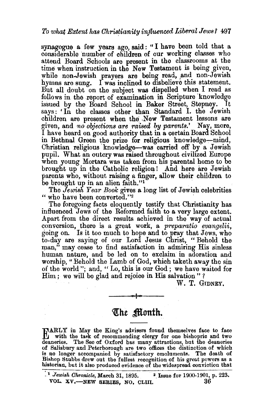synagogue a few years ago, said: "I have been told that a considerable number of children of our working classes who attend Board Schools are present in the classrooms at the time when instruction in the New Testament is being given, while non-Jewish prayers are being read, and non-Jewish hymns are sung.  $\Gamma$  was inclined to disbelieve this statement. But all doubt on the subject was dispelled when I read as follows in the report of examination in Scripture knowledge issued by the Board School in Baker Street, Stepney. It issued by the Board School in Baker Street, Stepney. says: 'In the classes other than Standard I. the Jewish children are present when the New Testament lessons are given, and *no objections are raised by parents.*' Nay, more, I have heard on good authority that in a certain Board School in Bethnal Green the prize for religious knowledge-mind, Christian religious 'knowledge-was carried off by a Jewish pupil. What an outcry was raised throughout civilized Europe when young Mortara was taken from his parental home to be brought up in the Catholic religion! And here are Jewish parents who, without raising a finger, allow their children to be brought up in an alien faith."<sup>1</sup>

The *Jewish Year Book* gives a long list of Jewish celebrities " who have been converted." $2$ 

The foregoing facts eloquently testify that Christianity has influenced Jews of the Reformed faith to a very large extent. Apart from the direct results achieved in the way of actual conversion, there is a great work, a *preparatio evangelii,*  going on. Is it too much to hope and to pray that Jews, who to-day are saying of our Lord Jesus Christ, "Behold the man," may cease to find satisfaction in admiring His sinless human nature, and be led on to exclaim in adoration and worship, "Behold the Lamb of God, which taketh away the sin of the world"; and, " Lo, this is our God ; we have waited for Him ; we will be glad and rejoice in His salvation " ?

W. T. GIDNEY.

## The Month.

EARLY in May the King's advisers found themselves face to face with the task of recommending clergy for one bishopric and two deaneries. The See of Oxford has many attractions, but the deaneries of Salisbury and Peterborough are two offices the distinction of which is no longer accompanied by satisfactory emoluments. The death of Bishop Stubbs drew out the fullest recognition of his great powers as a historian, but it also produced evidence of the widespread conviction that

<sup>:~</sup> *Jewish Chronicle,* March 31, 1895. 3 Issue for 1900·1901, p. 223. VOL.  $xy$ ,—NEW SERIES, NO, CLIII.  $36$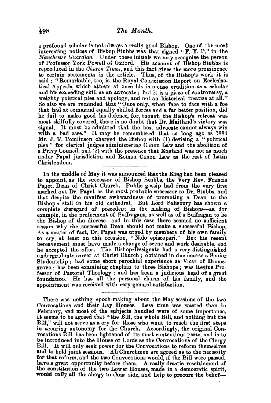a profound scholar is not always a really good Bishop. One of the most interesting notices of Bishop Stubbs was that signed "F. Y. P." in the *Manchester Guardian.* Under these initials we may recognise the person of Professor York Powell of Oxford. His account of Bishop Stubbs is reproduced in the *Ch1wch Times,* and this fact gives the more prominence to certain statements in the article. Thus, of the Bishop's work it is said : "Remarkable, too, is the Royal Commission Report on Ecclesiastical Appeals, which attests at once his immense erudition as a scholar and his exceeding skill as an advocate; but it is a piece of controversy, a weighty political plea and apology, and not an historical treatise at all." So also we are reminded that "Once only, when face to face with a foe that had at command equally skilled forces and a far better position, did he fail to make good his defence, for, though the Bishop's retreat was most skilfully covered, there is no doubt that Dr. Maitland's victory was signal. It must be admitted that the best advocate cannot always win with a bad case." It may be remembered that as long ago as  $1884$ Mr. J. T. Tomlinson charged the Bishop with  $(1)$  devising a "political plea" for clerical judges administering Canon Law and the abolition of a Privy Council, and  $(2)$  with the pretence that England was not as much under Papal jurisdiction and Roman Canon Law as the rest of Latin Christendom.

In the middle of May it was announced that the King had been pleased to appoint, as the successor of Bishop Stubbs, the Very Rev. Francis Paget, Dean of Christ Church. Public gossip bad from the very first marked out Dr. Paget as the most probable successor to Dr. Stubbs, and that despite the manifest awkwardness of promoting a Dean to the Bishop's stall in his old cathedral. But Lord Salisbury bas shown a complete disregard of precedent in the making of Bishops-as, for example, in the preferment of Suffragans, as well as of a Suffragan to be the Bishop of the diocese-and in this case there seemed no sufficient reason why the successful Dean should not make a successful Bishop. As a matter of fact, Dr. Paget was urged by members of his own family to cry, at least on this occasion, "Nolo episcopari." But his recent bereavement must have made a change of seene and work desirable, and he accepted the offer. The Bishop-Designate had a very distinguished undergraduate career at Christ Church ; obtained in due course a Senior Studentship ; had some short parochial experience as Vicar of Bromsgrove ; has been examining chaplain to three Bishops ; was Regius Professor of Pastoral Theology ; and has been a judicious head of a great foundation. He has all the personal charm of his family, and the appointment was received with very general satisfaction.

There was nothing epoch-making about the May sessions of the two Convocations and their Lay Houses. Less time was wasted than in February, and most of the subjects handled were of some importance. It seems to be agreed that "the Bill, the whole Bill, and nothing but the Bill," will not serve as a cry for those who want to reach the first steps in securing autonomy for the Church. Accordingly, the. original Convocations Bill bas been lightened of its most contentious parts, and is to be introduced into the House of Lords as the Convocations of the Clergy Bill. It will only seek power for the Convocations to reform themselves and to bold joint sessions. All Churchmen are agreed as to the necessity for that reform, and the two Convocations would, if the Bill were passed, have a great opportunity before them. A really drastic resettlement of the constitution of the two Lower Houses, made in a democratic spirit, would rally all the clergy to their side, and help to procure the belief-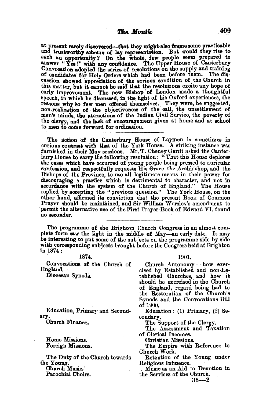at present rarely discovered-that they might also frame some practicable and trustworthy scheme of lay representation. But would they rise to such an opportunity? On the whole, few people seem prepared to answer "Yes!" with any confidence. The Upper House of Canterbury Convocation adopted the series of resolutions on the supply and training<br>of candidates for Holy Orders which had been before them. The disof candidates for Holy Orders which had been before them. cussion showed appreciation of the serious condition of the Church in this matter, but it cannot be said that the resolutions excite any hope of early improvement. The new Bishop of London made a thoughtful speech, in which he discussed, in the light of his Oxford experiences, the reasons why so few men offered themselves. They were, he suggested, non-realization of the objectiveness of the call, the unsettlement of men's minds, the attractions of the Indian Civil Service, the poverty of the clergy, and the lack of encouragement given at home and at school to men to come forward for ordination.

The action of the Canterbury House of Laymen is sometimes in curious contrast with that of the York House. A striking instance was furnished in their May sessions. Mr. T. Cheney Garfit asked the Canterbury House to carry the following resolution: "That this House deplores the cases which have occurred of young people being pressed to auricular ooufession, and respectfully requests His Grace the Archbishop, and the Bishops of the Province, to use all legitimate means in their power for discouraging a practice which is detrimental to character, and not in accordanoe with the system of the Church of England." The House replied by accepting the "previous question." The York House, on the other hand, affirmed its conviction that the present Book of Common Prayer should be maintained, and Sir William Worsley's amendment to permit the alternative use of the First Prayer-Book of Edward VI. found no seconder.

The programme of the Brighton Church Congress in an almost com- plete form saw the light in the middle of May-an early date. It may be interesting to put some of the subjects on the programme side by side with corresponding subjects brought before the Congress held at Brighton in  $1874$ :

Convocations of the Church of England.

Diocesan Synods.

Education, Primary and Secondary.

Church Finance.

Home Missions. Foreign Missions.

The Duty of the Church towards the Young.

Ohurch Musio.'

Parochial Choirs.

1874. 1901.

Church Autonomy- bow exer- cised by Established and non·Es· tablished Churches, and how it should be exercised in the Church of England, regard being had to the Restoration of the Church's Synods and the Convocations Bill of 1900.

Education : (1) Primary, (2) Secondary.

The Support of the Clergy.

The Assessment and Taxation of Clerical Incomes.

Christian Missions.

The Empire with Reference to Church Work.

Retention of the Young under

Religious Influence.<br>• Music as an Aid to Devotion in the Services of the Church.

 $36 - 2$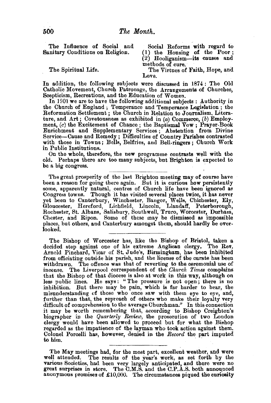The Influence of Social and Sanitary Conditions on Religion.

The Spiritual Life.

Social Reforms with regard to (l) the Housing of the Poor;  $(2)$  Hooliganism-its causes and<br>methods of cure.

The Virtues of Faith, Hope, and Love.

In addition, the following subjects were discussed in 1874: The Old Catholic Movement, Church Patronage, the Arrangements of Churches, Scepticism, Recreations, and the Education of Women.

In 1901 we are to have the following additional subjects : Authority in the Church of England ; Temperance and Temperance Legislation ; the Reformation Settlement; the Church in Relation to Journalism, Litera· ture, and Art; Covetousness as exhibited in  $(a)$  Commerce,  $(b)$  Employment,  $(c)$  the Excitement of Chance; the Baptismal Vow; Prayer-Book Enrichment and Supplementary Services ; Abstention from Divine Service-Cause and Remedy ; Difficulties of Country Parishes contrasted with those in Towns; Bells, Belfries, and Bell-ringers; Church Work in Public Institutions.

On the whole, therefore, the new programme contrasts well with the Perhaps there are too many subjects, but Brighton is expected to be a big congress.

The great prosperity of the last Brighton meeting may of course have been a reason for going there again. But it is curious how persistently some, apparently natural, centres of Church life have been ignored as Congress towns. Though it has visited several places twice, it has never Congress towns. Though it has visited several places twice, it has never yet been to Canterbury, Winchester, Bangor, Wells, Chichester, Ely, Gloucester, Hereford, Lichfield, Lincoln, Llandaff, Peterborough, Rochester, St. Albans, Salisbury, Southwell, Truro, Worcester, Durham, Chester, and Ripon. Some of these may be dismissed as impossible places, but others, and Canterbury amongst them, should hardly be over- looked.

The Bishop of Worcester has, like the Bishop of Bristol, taken a decided step against one of his extreme Anglican clergy. The Rev. Arnold Pinchard, Vicar of St. Jude's, Birmingham, bas been inhibited from officiating outside his parish, and the license of the curate has been withdrawn. The offence was that of reverting to the ceremonial use of incense. The Liverpool correspondent of the *Church Times* complains less public lines. He says: "The pressure is not open; there is no<br>inhibition. But there may be pain, which is far harder to bear, the misunderstanding cf those who once saw with them eye to eye, and, further than that, the reproach of others who make their loyalty very difficult of comprehension to the average Churchman." In this connection it may be worth remembering that, according to Bishop Creighton's biographer in the *Quarterly Review*, the prosecution of two London clergy would have been allowed to proceed but for what the Bishop regarded as the impatience of the layman who took action against them. Colonel Porcelli has, however, denied in the *Record* the part imputed to him.

The May meetings had, for the most part, excellent weather, and were well attended. The results of the year's work, as set forth by the various Societies, had been very largely anticipated, and there were no great surprises in store. The C.M.S. and the C.P.A.S. both announced anonymous promises of  $\pounds10,000$ . The circumstances piqued the curiosity